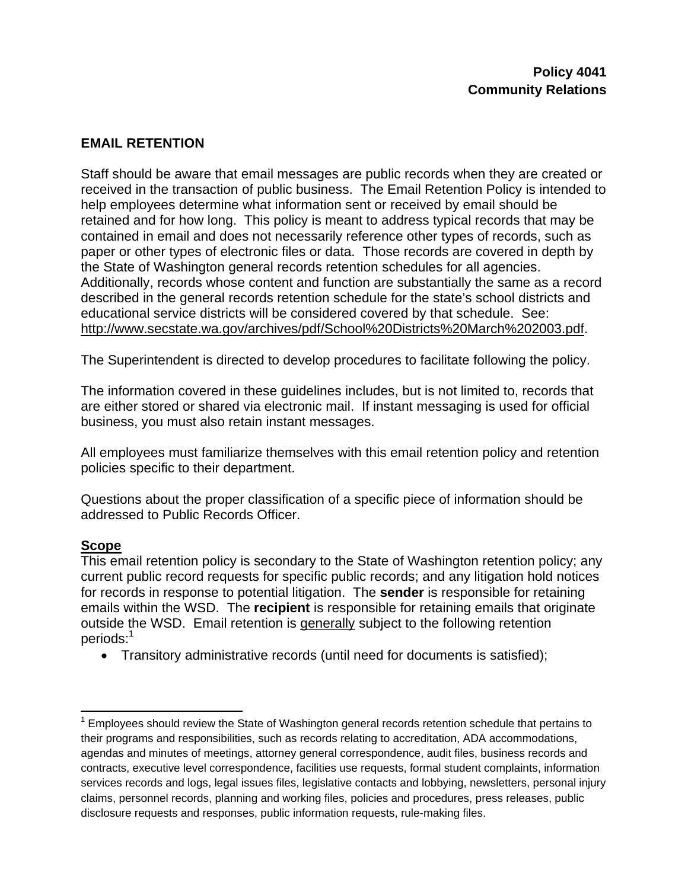## **EMAIL RETENTION**

Staff should be aware that email messages are public records when they are created or received in the transaction of public business. The Email Retention Policy is intended to help employees determine what information sent or received by email should be retained and for how long. This policy is meant to address typical records that may be contained in email and does not necessarily reference other types of records, such as paper or other types of electronic files or data. Those records are covered in depth by the State of Washington general records retention schedules for all agencies. Additionally, records whose content and function are substantially the same as a record described in the general records retention schedule for the state's school districts and educational service districts will be considered covered by that schedule. See: http://www.secstate.wa.gov/archives/pdf/School%20Districts%20March%202003.pdf.

The Superintendent is directed to develop procedures to facilitate following the policy.

The information covered in these guidelines includes, but is not limited to, records that are either stored or shared via electronic mail. If instant messaging is used for official business, you must also retain instant messages.

All employees must familiarize themselves with this email retention policy and retention policies specific to their department.

Questions about the proper classification of a specific piece of information should be addressed to Public Records Officer.

## **Scope**

This email retention policy is secondary to the State of Washington retention policy; any current public record requests for specific public records; and any litigation hold notices for records in response to potential litigation. The **sender** is responsible for retaining emails within the WSD. The **recipient** is responsible for retaining emails that originate outside the WSD. Email retention is generally subject to the following retention periods:<sup>1</sup>

• Transitory administrative records (until need for documents is satisfied);

  $1$  Employees should review the State of Washington general records retention schedule that pertains to their programs and responsibilities, such as records relating to accreditation, ADA accommodations, agendas and minutes of meetings, attorney general correspondence, audit files, business records and contracts, executive level correspondence, facilities use requests, formal student complaints, information services records and logs, legal issues files, legislative contacts and lobbying, newsletters, personal injury claims, personnel records, planning and working files, policies and procedures, press releases, public disclosure requests and responses, public information requests, rule-making files.